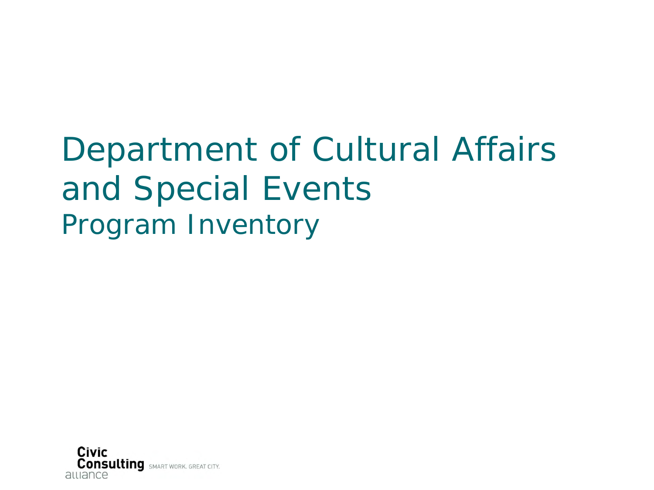# Department of Cultural Affairs and Special Events Program Inventory

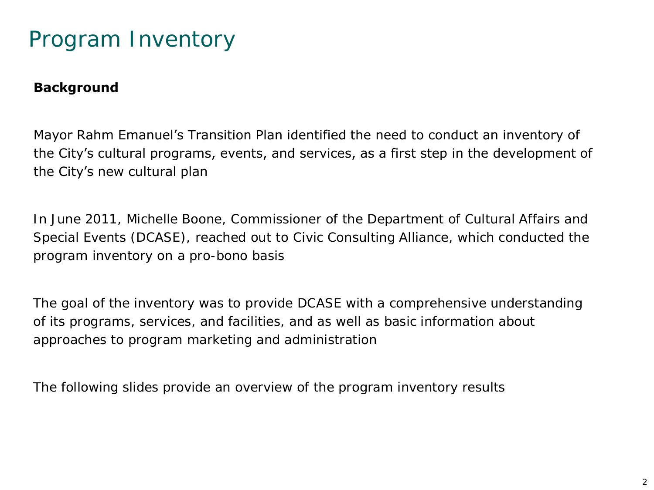### Program Inventory

#### **Background**

Mayor Rahm Emanuel's Transition Plan identified the need to conduct an inventory of the City's cultural programs, events, and services, as a first step in the development of the City's new cultural plan

In June 2011, Michelle Boone, Commissioner of the Department of Cultural Affairs and Special Events (DCASE), reached out to Civic Consulting Alliance, which conducted the program inventory on a pro-bono basis

The goal of the inventory was to provide DCASE with a comprehensive understanding of its programs, services, and facilities, and as well as basic information about approaches to program marketing and administration

The following slides provide an overview of the program inventory results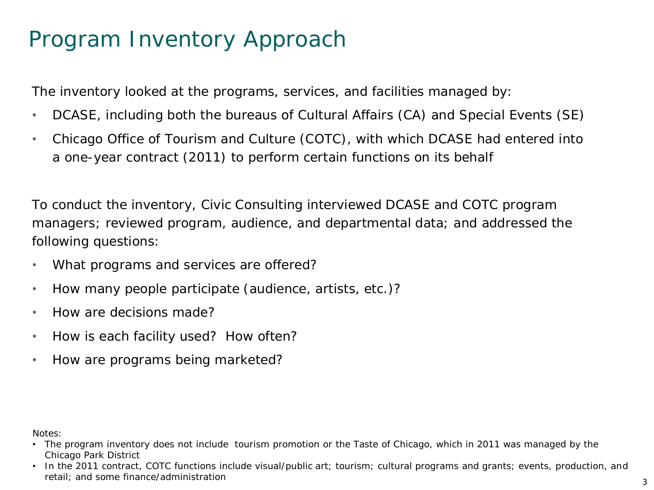### Program Inventory Approach

The inventory looked at the programs, services, and facilities managed by:

- DCASE, including both the bureaus of Cultural Affairs (CA) and Special Events (SE)
- Chicago Office of Tourism and Culture (COTC), with which DCASE had entered into a one-year contract (2011) to perform certain functions on its behalf

To conduct the inventory, Civic Consulting interviewed DCASE and COTC program managers; reviewed program, audience, and departmental data; and addressed the following questions:

- What programs and services are offered?
- How many people participate (audience, artists, etc.)?
- How are decisions made?
- How is each facility used? How often?
- How are programs being marketed?

Notes:

- The program inventory does not include tourism promotion or the Taste of Chicago, which in 2011 was managed by the Chicago Park District
- In the 2011 contract, COTC functions include visual/public art; tourism; cultural programs and grants; events, production, and retail; and some finance/administration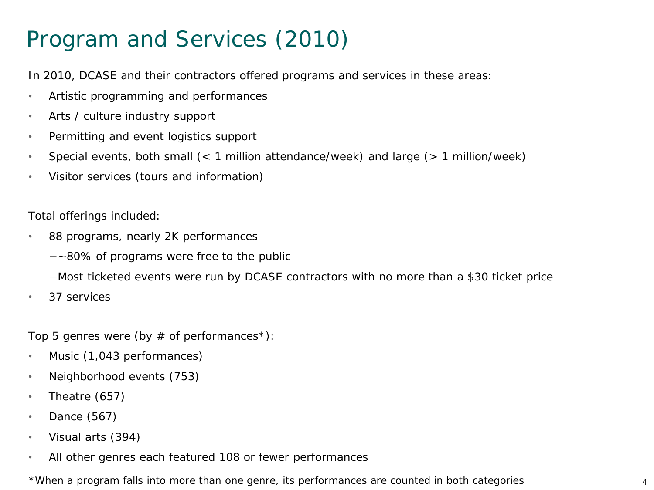### Program and Services (2010)

In 2010, DCASE and their contractors offered programs and services in these areas:

- Artistic programming and performances
- Arts / culture industry support
- Permitting and event logistics support
- Special events, both small (< 1 million attendance/week) and large (> 1 million/week)
- Visitor services (tours and information)

Total offerings included:

- 88 programs, nearly 2K performances
	- −~80% of programs were free to the public

−Most ticketed events were run by DCASE contractors with no more than a \$30 ticket price

• 37 services

Top 5 genres were (by  $#$  of performances\*):

- Music (1,043 performances)
- Neighborhood events (753)
- Theatre (657)
- Dance (567)
- Visual arts (394)
- All other genres each featured 108 or fewer performances

\*When a program falls into more than one genre, its performances are counted in both categories 4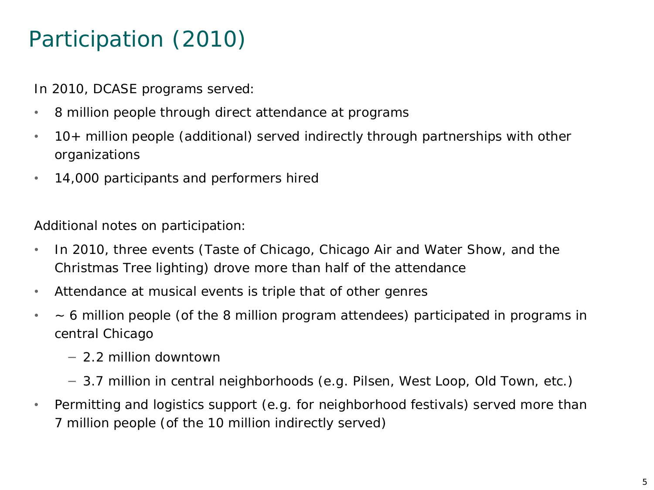## Participation (2010)

In 2010, DCASE programs served:

- 8 million people through direct attendance at programs
- 10+ million people (additional) served indirectly through partnerships with other organizations
- 14,000 participants and performers hired

Additional notes on participation:

- In 2010, three events (Taste of Chicago, Chicago Air and Water Show, and the Christmas Tree lighting) drove more than half of the attendance
- Attendance at musical events is triple that of other genres
- ~ 6 million people (of the 8 million program attendees) participated in programs in central Chicago
	- − 2.2 million downtown
	- − 3.7 million in central neighborhoods (e.g. Pilsen, West Loop, Old Town, etc.)
- Permitting and logistics support (e.g. for neighborhood festivals) served more than 7 million people (of the 10 million indirectly served)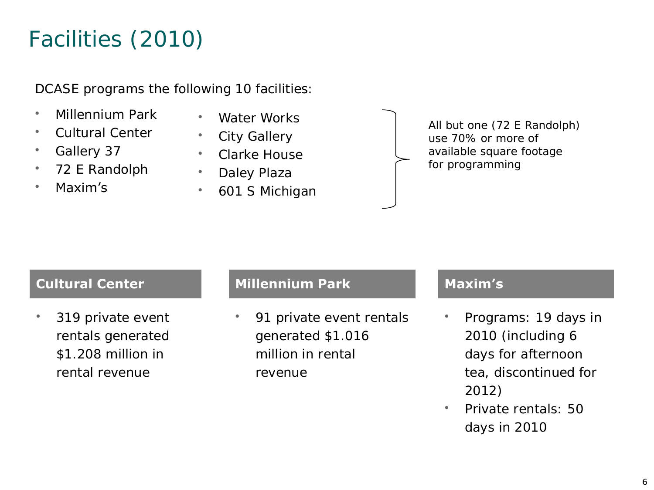## Facilities (2010)

DCASE programs the following 10 facilities:

- Millennium Park
- Cultural Center
- Gallery 37
- 72 E Randolph
- Maxim's
- Water Works
- City Gallery
- Clarke House
- Daley Plaza
- 601 S Michigan

All but one (72 E Randolph) use 70% or more of available square footage for programming

### **Cultural Center Millennium Park Maxim's**

319 private event rentals generated \$1.208 million in rental revenue

91 private event rentals generated \$1.016 million in rental revenue

- Programs: 19 days in 2010 (including 6 days for afternoon tea, discontinued for 2012)
- Private rentals: 50 days in 2010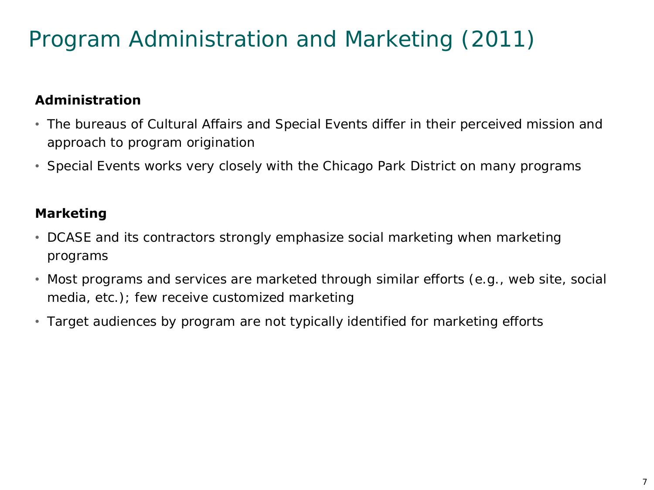## Program Administration and Marketing (2011)

### **Administration**

- The bureaus of Cultural Affairs and Special Events differ in their perceived mission and approach to program origination
- Special Events works very closely with the Chicago Park District on many programs

### **Marketing**

- DCASE and its contractors strongly emphasize social marketing when marketing programs
- Most programs and services are marketed through similar efforts (e.g., web site, social media, etc.); few receive customized marketing
- Target audiences by program are not typically identified for marketing efforts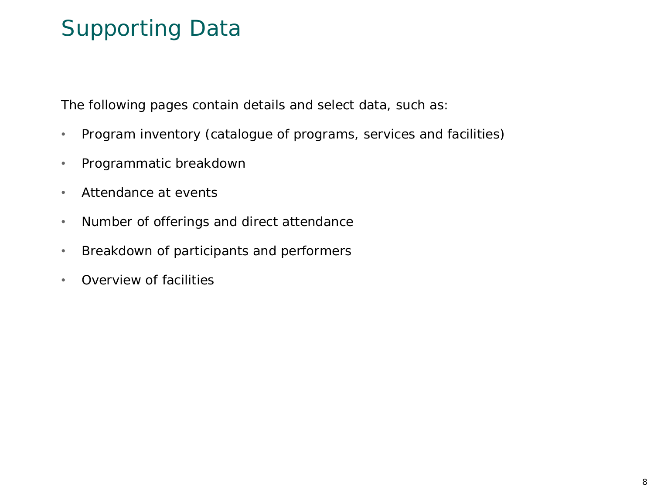### Supporting Data

The following pages contain details and select data, such as:

- Program inventory (catalogue of programs, services and facilities)
- Programmatic breakdown
- Attendance at events
- Number of offerings and direct attendance
- Breakdown of participants and performers
- Overview of facilities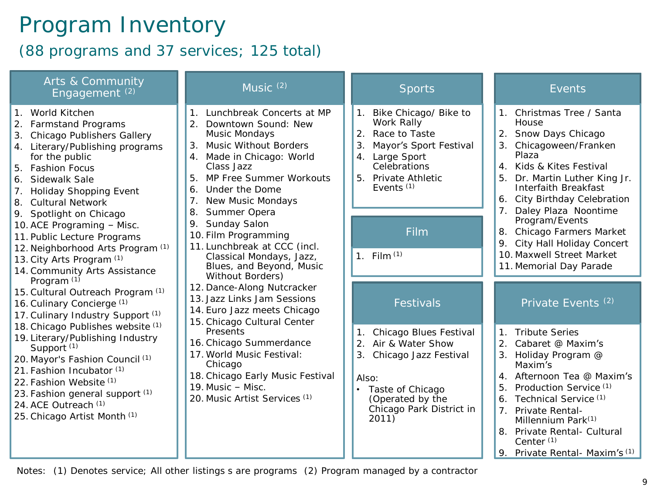### Program Inventory

(88 programs and 37 services; 125 total)

| Arts & Community<br>Engagement <sup>(2)</sup>                                                                                                                                                                                                                                                                                                                                                                                                                                                                                                                                                                                                                                                                                                                                                                                                                                      | Music $(2)$                                                                                                                                                                                                                                                                                                                                                                                                                                                                                                                                                                                                                                                                                                                                         | <b>Sports</b>                                                                                                                                                                                                             | Events                                                                                                                                                                                                                                                                                                                                                                                  |
|------------------------------------------------------------------------------------------------------------------------------------------------------------------------------------------------------------------------------------------------------------------------------------------------------------------------------------------------------------------------------------------------------------------------------------------------------------------------------------------------------------------------------------------------------------------------------------------------------------------------------------------------------------------------------------------------------------------------------------------------------------------------------------------------------------------------------------------------------------------------------------|-----------------------------------------------------------------------------------------------------------------------------------------------------------------------------------------------------------------------------------------------------------------------------------------------------------------------------------------------------------------------------------------------------------------------------------------------------------------------------------------------------------------------------------------------------------------------------------------------------------------------------------------------------------------------------------------------------------------------------------------------------|---------------------------------------------------------------------------------------------------------------------------------------------------------------------------------------------------------------------------|-----------------------------------------------------------------------------------------------------------------------------------------------------------------------------------------------------------------------------------------------------------------------------------------------------------------------------------------------------------------------------------------|
| 1. World Kitchen<br>2. Farmstand Programs<br>Chicago Publishers Gallery<br>3.<br>4. Literary/Publishing programs<br>for the public<br><b>Fashion Focus</b><br>5.<br>6. Sidewalk Sale<br><b>Holiday Shopping Event</b><br>7.<br><b>Cultural Network</b><br>8.<br>9. Spotlight on Chicago<br>10. ACE Programing - Misc.<br>11. Public Lecture Programs<br>12. Neighborhood Arts Program (1)<br>13. City Arts Program (1)<br>14. Community Arts Assistance<br>Program <sup>(1)</sup><br>15. Cultural Outreach Program (1)<br>16. Culinary Concierge (1)<br>17. Culinary Industry Support (1)<br>18. Chicago Publishes website (1)<br>19. Literary/Publishing Industry<br>Support <sup>(1)</sup><br>20. Mayor's Fashion Council (1)<br>21. Fashion Incubator (1)<br>22. Fashion Website (1)<br>23. Fashion general support (1)<br>24. ACE Outreach (1)<br>25. Chicago Artist Month (1) | 1. Lunchbreak Concerts at MP<br>2.<br>Downtown Sound: New<br>Music Mondays<br>Music Without Borders<br>3.<br>4. Made in Chicago: World<br>Class Jazz<br>MP Free Summer Workouts<br>5.<br>Under the Dome<br>6.<br>New Music Mondays<br>7 <sub>1</sub><br>Summer Opera<br>8.<br>Sunday Salon<br>9.<br>10. Film Programming<br>11. Lunchbreak at CCC (incl.<br>Classical Mondays, Jazz,<br>Blues, and Beyond, Music<br>Without Borders)<br>12. Dance-Along Nutcracker<br>13. Jazz Links Jam Sessions<br>14. Euro Jazz meets Chicago<br>15. Chicago Cultural Center<br>Presents<br>16. Chicago Summerdance<br>17. World Music Festival:<br>Chicago<br>18. Chicago Early Music Festival<br>19. Music - Misc.<br>20. Music Artist Services <sup>(1)</sup> | Bike Chicago/ Bike to<br>1.<br>Work Rally<br>2.<br>Race to Taste<br>3.<br>Mayor's Sport Festival<br>Large Sport<br>$4_{\cdot}$<br>Celebrations<br>Private Athletic<br>5<br>Events <sup>(1)</sup><br>Film<br>1. Film $(1)$ | 1. Christmas Tree / Santa<br>House<br>2. Snow Days Chicago<br>3. Chicagoween/Franken<br>Plaza<br>4. Kids & Kites Festival<br>Dr. Martin Luther King Jr.<br>5.<br>Interfaith Breakfast<br>City Birthday Celebration<br>6.<br>Daley Plaza Noontime<br>Program/Events<br>8. Chicago Farmers Market<br>9. City Hall Holiday Concert<br>10. Maxwell Street Market<br>11. Memorial Day Parade |
|                                                                                                                                                                                                                                                                                                                                                                                                                                                                                                                                                                                                                                                                                                                                                                                                                                                                                    |                                                                                                                                                                                                                                                                                                                                                                                                                                                                                                                                                                                                                                                                                                                                                     | Festivals                                                                                                                                                                                                                 | Private Events <sup>(2)</sup>                                                                                                                                                                                                                                                                                                                                                           |
|                                                                                                                                                                                                                                                                                                                                                                                                                                                                                                                                                                                                                                                                                                                                                                                                                                                                                    |                                                                                                                                                                                                                                                                                                                                                                                                                                                                                                                                                                                                                                                                                                                                                     | Chicago Blues Festival<br>Air & Water Show<br>$\overline{2}$ .<br>3.<br>Chicago Jazz Festival<br>Also:<br>Taste of Chicago<br>(Operated by the<br>Chicago Park District in<br>2011)                                       | <b>Tribute Series</b><br>1 <sub>1</sub><br>2.<br>Cabaret @ Maxim's<br>3. Holiday Program @<br>Maxim's<br>4. Afternoon Tea @ Maxim's<br>Production Service (1)<br>5.<br>Technical Service <sup>(1)</sup><br>6.<br>Private Rental-<br>7 <sup>1</sup><br>Millennium Park <sup>(1)</sup><br>Private Rental- Cultural<br>8.<br>Center <sup>(1)</sup><br>Private Rental- Maxim's (1)<br>9.    |

Notes: (1) Denotes service; All other listings s are programs (2) Program managed by a contractor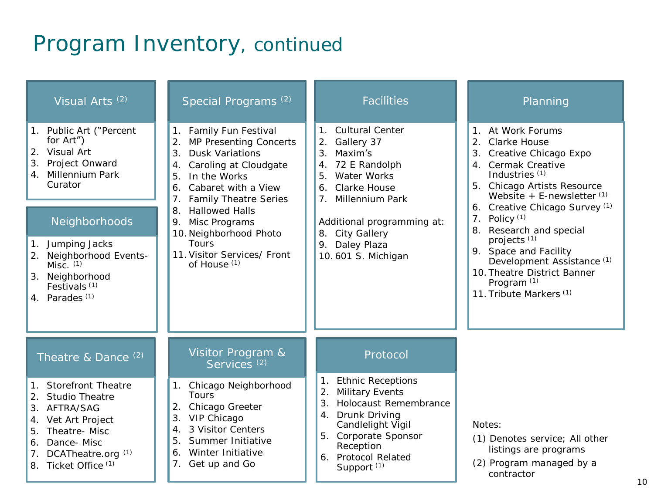### Program Inventory, continued

| Visual Arts <sup>(2)</sup>                                                                                                                                                                                                                                                     | Special Programs <sup>(2)</sup>                                                                                                                                                                                                                                                                                                                  | <b>Facilities</b>                                                                                                                                                                                                                                       | Planning<br>1. At Work Forums<br>2.<br>Clarke House<br>3.<br>Creative Chicago Expo<br>4. Cermak Creative<br>Industries <sup>(1)</sup><br>5. Chicago Artists Resource<br>Website $+$ E-newsletter $(1)$<br>6. Creative Chicago Survey (1)<br>7. Policy $(1)$<br>Research and special<br>8.<br>projects <sup>(1)</sup><br>9. Space and Facility<br>Development Assistance <sup>(1)</sup><br>10. Theatre District Banner<br>Program <sup>(1)</sup><br>11. Tribute Markers <sup>(1)</sup> |  |  |
|--------------------------------------------------------------------------------------------------------------------------------------------------------------------------------------------------------------------------------------------------------------------------------|--------------------------------------------------------------------------------------------------------------------------------------------------------------------------------------------------------------------------------------------------------------------------------------------------------------------------------------------------|---------------------------------------------------------------------------------------------------------------------------------------------------------------------------------------------------------------------------------------------------------|---------------------------------------------------------------------------------------------------------------------------------------------------------------------------------------------------------------------------------------------------------------------------------------------------------------------------------------------------------------------------------------------------------------------------------------------------------------------------------------|--|--|
| 1. Public Art ("Percent<br>for Art")<br>2. Visual Art<br>3.<br>Project Onward<br>4. Millennium Park<br>Curator<br>Neighborhoods<br>Jumping Jacks<br>1.<br>2. Neighborhood Events-<br>$Misc.$ $(1)$<br>3. Neighborhood<br>Festivals <sup>(1)</sup><br>4. Parades <sup>(1)</sup> | 1. Family Fun Festival<br>MP Presenting Concerts<br>3.<br><b>Dusk Variations</b><br>Caroling at Cloudgate<br>4.<br>In the Works<br>5.<br>Cabaret with a View<br>6.<br><b>Family Theatre Series</b><br>7.<br><b>Hallowed Halls</b><br>8.<br>Misc Programs<br>9.<br>10. Neighborhood Photo<br>Tours<br>11. Visitor Services/ Front<br>of House (1) | <b>Cultural Center</b><br>$1_{-}$<br>Gallery 37<br>2.<br>3.<br>Maxim's<br>72 E Randolph<br>4.<br>Water Works<br>5.<br>Clarke House<br>6.<br>7. Millennium Park<br>Additional programming at:<br>8. City Gallery<br>9. Daley Plaza<br>10.601 S. Michigan |                                                                                                                                                                                                                                                                                                                                                                                                                                                                                       |  |  |
| Theatre & Dance <sup>(2)</sup>                                                                                                                                                                                                                                                 | Visitor Program &<br>Services <sup>(2)</sup>                                                                                                                                                                                                                                                                                                     | Protocol                                                                                                                                                                                                                                                |                                                                                                                                                                                                                                                                                                                                                                                                                                                                                       |  |  |
| Storefront Theatre<br>$\mathbf 1$ .<br><b>Studio Theatre</b><br>2.<br>AFTRA/SAG<br>3.<br>Vet Art Project<br>Theatre-Misc<br>5.<br>Dance-Misc<br>6.<br>DCATheatre.org <sup>(1)</sup><br>7.<br>Ticket Office <sup>(1)</sup><br>8.                                                | Chicago Neighborhood<br>1.<br>Tours<br>Chicago Greeter<br>2.<br>VIP Chicago<br>3.<br>3 Visitor Centers<br>$\overline{4}$ .<br>Summer Initiative<br>5.<br>Winter Initiative<br>6.<br>Get up and Go<br>7.                                                                                                                                          | <b>Ethnic Receptions</b><br>$1_{\cdot}$<br><b>Military Events</b><br>2.<br>3.<br>Holocaust Remembrance<br>Drunk Driving<br>4.<br>Candlelight Vigil<br>5. Corporate Sponsor<br>Reception<br>6. Protocol Related<br>Support <sup>(1)</sup>                | Notes:<br>(1) Denotes service; All other<br>listings are programs<br>(2) Program managed by a<br>contractor                                                                                                                                                                                                                                                                                                                                                                           |  |  |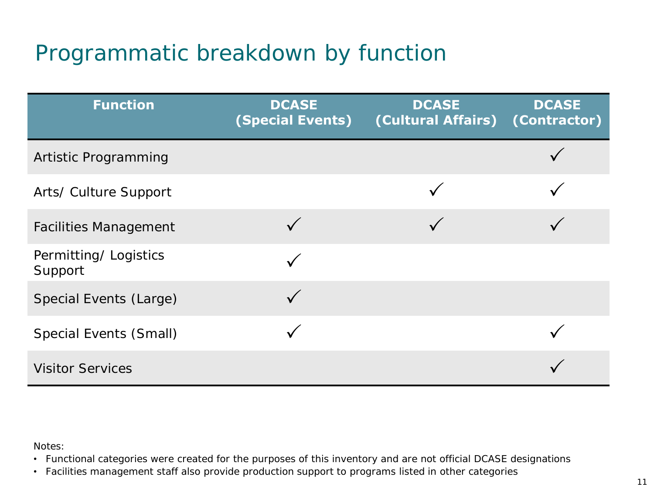## Programmatic breakdown by function

| <b>Function</b>                 | <b>DCASE</b><br><b>(Special Events)</b> | <b>DCASE</b><br>(Cultural Affairs) | <b>DCASE</b><br>(Contractor) |
|---------------------------------|-----------------------------------------|------------------------------------|------------------------------|
| Artistic Programming            |                                         |                                    |                              |
| Arts/ Culture Support           |                                         |                                    |                              |
| <b>Facilities Management</b>    |                                         |                                    |                              |
| Permitting/Logistics<br>Support |                                         |                                    |                              |
| Special Events (Large)          |                                         |                                    |                              |
| Special Events (Small)          |                                         |                                    |                              |
| <b>Visitor Services</b>         |                                         |                                    |                              |

Notes:

• Functional categories were created for the purposes of this inventory and are not official DCASE designations

• Facilities management staff also provide production support to programs listed in other categories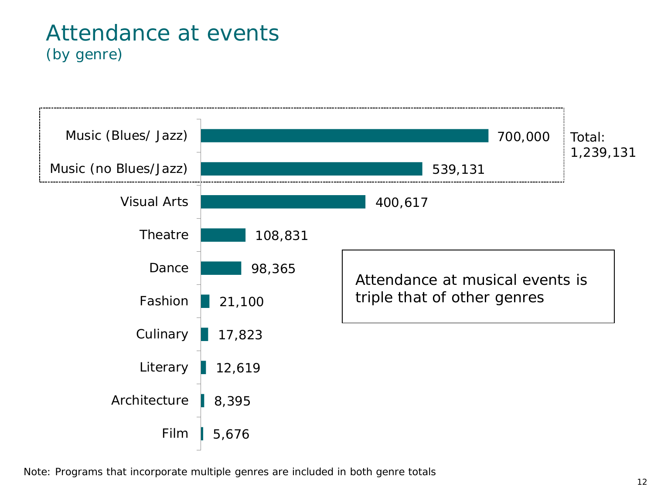### Attendance at events (by genre)



Note: Programs that incorporate multiple genres are included in both genre totals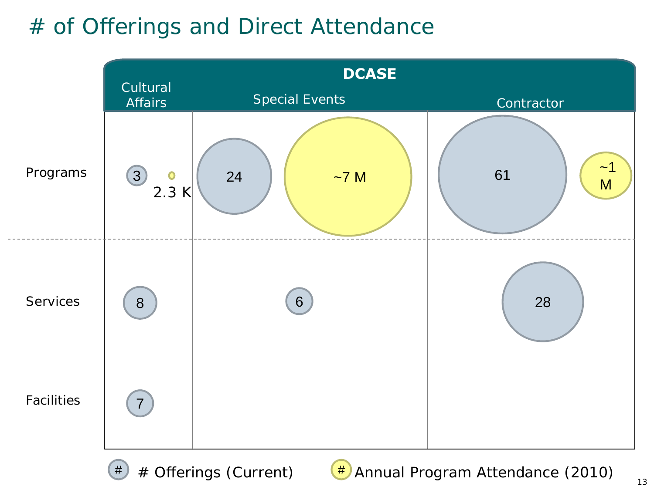### # of Offerings and Direct Attendance



 $#$  # Offerings (Current)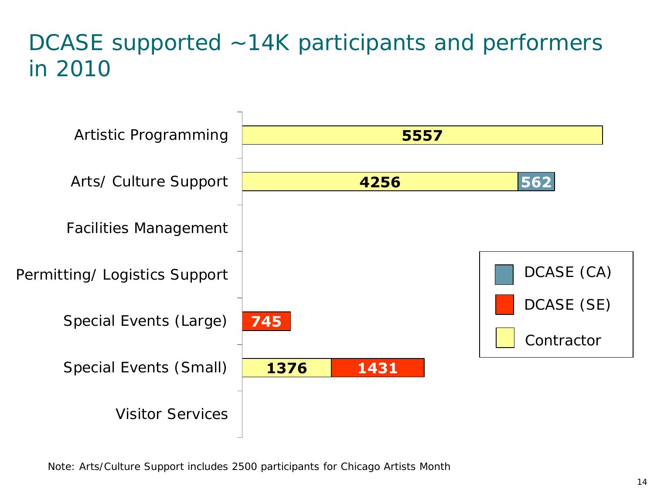### DCASE supported ~14K participants and performers in 2010



Note: Arts/Culture Support includes 2500 participants for Chicago Artists Month